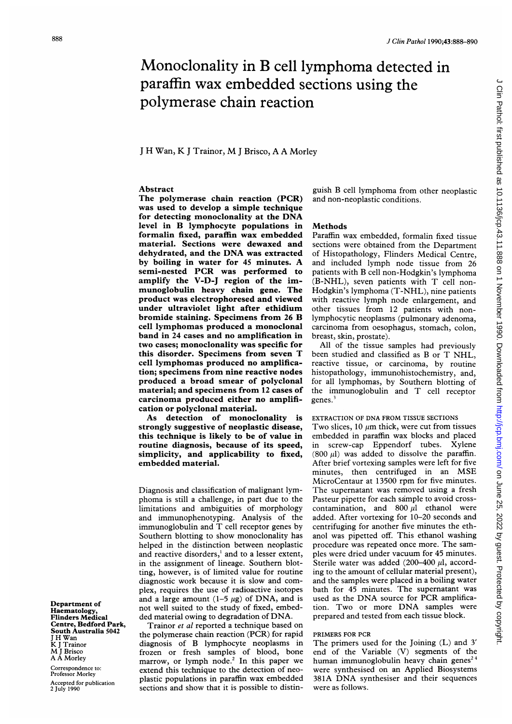# Monoclonality in B cell lymphoma detected in paraffin wax embedded sections using the polymerase chain reaction

<sup>J</sup> H Wan, K <sup>J</sup> Trainor, M <sup>J</sup> Brisco, A A Morley

## Abstract

The polymerase chain reaction (PCR) was used to develop a simple technique for detecting monoclonality at the DNA level in B lymphocyte populations in formalin fixed, paraffin wax embedded material. Sections were dewaxed and dehydrated, and the DNA was extracted by boiling in water for <sup>45</sup> minutes. A semi-nested PCR was performed to amplify the V-D-J region of the immunoglobulin heavy chain gene. The product was electrophoresed and viewed under ultraviolet light after ethidium bromide staining. Specimens from <sup>26</sup> B cell lymphomas produced a monoclonal band in 24 cases and no amplification in two cases; monoclonality was specific for this disorder. Specimens from seven T cell lymphomas produced no amplification; specimens from nine reactive nodes produced a broad smear of polyclonal material; and specimens from 12 cases of carcinoma produced either no amplification or polyclonal material.

As detection of monoclonality is strongly suggestive of neoplastic disease, this technique is likely to be of value in routine diagnosis, because of its speed, simplicity, and applicability to fixed, embedded material.

Diagnosis and classification of malignant lymphoma is still <sup>a</sup> challenge, in part due to the limitations and ambiguities of morphology and immunophenotyping. Analysis of the immunoglobulin and T cell receptor genes by Southern blotting to show monoclonality has helped in the distinction between neoplastic and reactive disorders,' and to a lesser extent, in the assignment of lineage. Southern blotting, however, is of limited value for routine diagnostic work because it is slow and complex, requires the use of radioactive isotopes and a large amount  $(1-5 \mu g)$  of DNA, and is not well suited to the study of fixed, embedded material owing to degradation of DNA.

Trainor et al reported a technique based on the polymerase chain reaction (PCR) for rapid diagnosis of B lymphocyte neoplasms in frozen or fresh samples of blood, bone marrow, or lymph node.<sup>2</sup> In this paper we extend this technique to the detection of neoplastic populations in paraffin wax embedded sections and show that it is possible to distin-

guish B cell lymphoma from other neoplastic and non-neoplastic conditions.

#### Methods

Paraffin wax embedded, formalin fixed tissue sections were obtained from the Department of Histopathology, Flinders Medical Centre, and included lymph node tissue from 26 patients with B cell non-Hodgkin's lymphoma (B-NHL), seven patients with T cell non-Hodgkin's lymphoma (T-NHL), nine patients with reactive lymph node enlargement, and other tissues from 12 patients with nonlymphocytic neoplasms (pulmonary adenoma, carcinoma from oesophagus, stomach, colon, breast, skin, prostate).

All of the tissue samples had previously been studied and classified as B or T NHL, reactive tissue, or carcinoma, by routine histopathology, immunohistochemistry, and, for all lymphomas, by Southern blotting of the immunoglobulin and T cell receptor genes.<sup>3</sup>

## EXTRACTION OF DNA FROM TISSUE SECTIONS

Two slices, 10  $\mu$ m thick, were cut from tissues embedded in paraffin wax blocks and placed in screw-cap Eppendorf tubes. Xylene (800  $\mu$ I) was added to dissolve the paraffin. After brief vortexing samples were left for five minutes, then centrifuged in an MSE MicroCentaur at 13500 rpm for five minutes. The supernatant was removed using a fresh Pasteur pipette for each sample to avoid crosscontamination, and  $800 \mu l$  ethanol were added. After vortexing for 10-20 seconds and centrifuging for another five minutes the ethanol was pipetted off. This ethanol washing procedure was repeated once more. The samples were dried under vacuum for 45 minutes. Sterile water was added  $(200-400 \mu)$ , according to the amount of cellular material present), and the samples were placed in a boiling water bath for 45 minutes. The supernatant was used as the DNA source for PCR amplification. Two or more DNA samples were prepared and tested from each tissue block.

### PRIMERS FOR PCR

The primers used for the Joining (L) and <sup>3</sup>' end of the Variable (V) segments of the human immunoglobulin heavy chain genes<sup>24</sup> were synthesised on an Applied Biosystems 381A DNA synthesiser and their sequences were as follows.

Department of Haematology, Flinders Medical Centre, Bedford Park, South Australia 5042 <sup>J</sup> H Wan K <sup>J</sup> Trainor M <sup>J</sup> Brisco A A Morley

Correspondence to: Professor Morley Accepted for publication 2 July 1990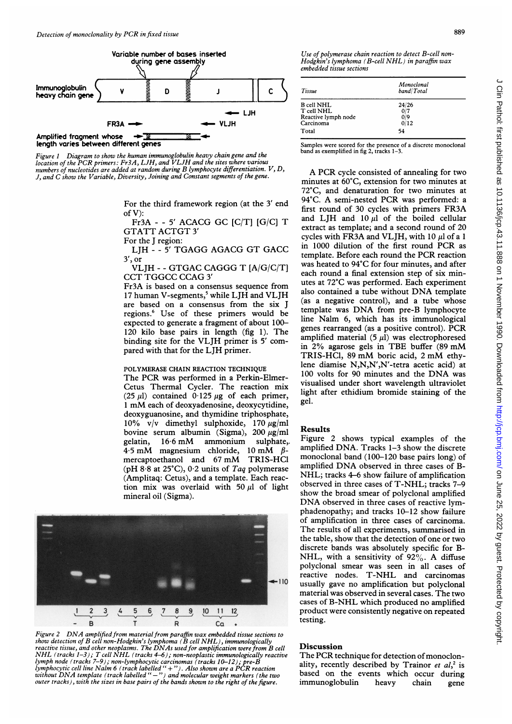

Figure <sup>I</sup> Diagram to show the human immunoglobulin heavy chain gene and the location of the PCR primers: Fr3A, LJH, and VLJH and the sites where various numbers of nucleotides are added at random during B lymphocyte differentiation. V, D, J, and C show the Variable, Diversity, Joining and Constant segments of the gene.

> For the third framework region (at the <sup>3</sup>' end of V):

> Fr3A - - <sup>5</sup>' ACACG GC [C/T] [G/C] T GTATT ACTGT <sup>3</sup>'

For the J region:

LJH --5' TGAGG AGACG GT GACC <sup>3</sup>', or

VLJH - - GTGAC CAGGG T [A/G/C/T] CCT TGGCC CCAG <sup>3</sup>'

Fr3A is based on a consensus sequence from 17 human V-segments,<sup>5</sup> while LJH and VLJH are based on a consensus from the six J regions.6 Use of these primers would be expected to generate a fragment of about 100- 120 kilo base pairs in length (fig 1). The binding site for the VLJH primer is <sup>5</sup>' compared with that for the LJH primer.

#### POLYMERASE CHAIN REACTION TECHNIQUE

The PCR was performed in <sup>a</sup> Perkin-Elmer-Cetus Thermal Cycler. The reaction mix (25  $\mu$ l) contained 0.125  $\mu$ g of each primer, <sup>1</sup> mM each of deoxyadenosine, deoxycytidine, deoxyguanosine, and thymidine triphosphate, 10% v/v dimethyl sulphoxide, 170  $\mu$ g/ml bovine serum albumin (Sigma),  $200 \mu g/ml$ gelatin,  $16.6 \text{ mM}$  ammonium sulphate,. 4.5 mM magnesium chloride, 10 mM  $\beta$ mercaptoethanol and <sup>67</sup> mM TRIS-HCI (pH  $8.8$  at  $25^{\circ}$ C), 0.2 units of Taq polymerase (Amplitaq: Cetus), and a template. Each reaction mix was overlaid with 50  $\mu$ l of light mineral oil (Sigma).



Figure 2 DNA amplified from material from paraffin wax embedded tissue sections to show detection of  $B$  cell non-Hodgkin's lymphoma ( $\tilde{B}$  cell NHL), immunologically reactive tissue, and other neoplasms. The DNAs used for amplification were from  $\overline{\text{NHL}}$  (tracks 1–3); T cell NHL (tracks 4–6); non-neoplastic immunologically re<br>lymph node (tracks 7–9); non-lymphocytic carcinomas (trac outer tracks), with the sizes in base pairs of the bands shown to the right of the figure. y B cell eactive on two

Use of polymerase chain reaction to detect B-cell non-Hodgkin's lymphoma (B-cell NHL) in paraffin wax embedded tissue sections

| Tissue                                                              | Monoclonal<br>band/Total    |  |
|---------------------------------------------------------------------|-----------------------------|--|
| <b>B</b> cell NHL<br>T cell NHL<br>Reactive lymph node<br>Carcinoma | 24/26<br>0/7<br>0/9<br>0/12 |  |
| Total                                                               | 54                          |  |

Samples were scored for the presence of a discrete monoclonal band as exemplified in fig 2, tracks 1-3.

A PCR cycle consisted of annealing for two minutes at 60°C, extension for two minutes at 72°C, and denaturation for two minutes at 94°C. A semi-nested PCR was performed: <sup>a</sup> first round of 30 cycles with primers FR3A and LJH and  $10 \mu l$  of the boiled cellular extract as template; and a second round of 20 cycles with FR3A and VLJH, with 10  $\mu$ l of a 1 in <sup>1000</sup> dilution of the first round PCR as template. Before each round the PCR reaction was heated to 94°C for four minutes, and after each round a final extension step of six minutes at 72°C was performed. Each experiment also contained <sup>a</sup> tube without DNA template (as a negative control), and a tube whose template was DNA from pre-B lymphocyte line Nalm 6, which has its immunological genes rearranged (as <sup>a</sup> positive control). PCR amplified material  $(5 \mu l)$  was electrophoresed in 2% agarose gels in TBE buffer (89 mM TRIS-HCI, <sup>89</sup> mM boric acid, <sup>2</sup> mM ethylene diamise N,N,N',N'-tetra acetic acid) at <sup>100</sup> volts for <sup>90</sup> minutes and the DNA was visualised under short wavelength ultraviolet light after ethidium bromide staining of the gel.

### Results

Figure 2 shows typical examples of the amplified DNA. Tracks 1-3 show the discrete monoclonal band (100-120 base pairs long) of amplified DNA observed in three cases of B-NHL; tracks 4-6 show failure of amplification observed in three cases of T-NHL; tracks 7-9 show the broad smear of polyclonal amplified DNA observed in three cases of reactive lymphadenopathy; and tracks 10-12 show failure of amplification in three cases of carcinoma. The results of all experiments, summarised in the table, show that the detection of one or two discrete bands was absolutely specific for B-NHL, with a sensitivity of  $92\%$ . A diffuse polyclonal smear was seen in all cases of reactive nodes. T-NHL and carcinomas usually gave no amplification but polyclonal material was observed in several cases. The two cases of B-NHL which produced no amplified product were consistently negative on repeated testing.

# **Discussion**

The PCR technique for detection of monoclonality, recently described by Trainor et  $al$ ,<sup>2</sup> is based on the events which occur during immunoglobulin heavy chain gene